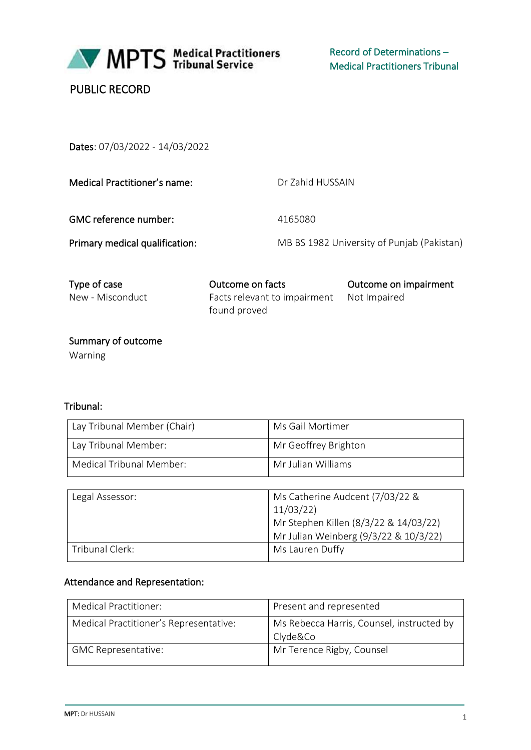

MPTS Medical Practitioners

Record of Determinations – Medical Practitioners Tribunal

|  | <b>PUBLIC RECORD</b> |
|--|----------------------|
|--|----------------------|

Dates: 07/03/2022 - 14/03/2022

Dr Zahid HUSSAIN

GMC reference number: 4165080

Primary medical qualification: MB BS 1982 University of Punjab (Pakistan)

| Type of case     | Outcome on facts                          | Outcome on impairment |
|------------------|-------------------------------------------|-----------------------|
| New - Misconduct | Facts relevant to impairment Not Impaired |                       |
|                  | found proved                              |                       |

 Summary of outcome Warning

## Tribunal:

| Lay Tribunal Member (Chair) | Ms Gail Mortimer     |
|-----------------------------|----------------------|
| Lay Tribunal Member:        | Mr Geoffrey Brighton |
| Medical Tribunal Member:    | Mr Julian Williams   |

| Legal Assessor: | Ms Catherine Audcent (7/03/22 &       |
|-----------------|---------------------------------------|
|                 | 11/03/22                              |
|                 | Mr Stephen Killen (8/3/22 & 14/03/22) |
|                 | Mr Julian Weinberg (9/3/22 & 10/3/22) |
| Tribunal Clerk: | Ms Lauren Duffy                       |

## Attendance and Representation:

| <b>Medical Practitioner:</b>           | Present and represented                               |
|----------------------------------------|-------------------------------------------------------|
| Medical Practitioner's Representative: | Ms Rebecca Harris, Counsel, instructed by<br>Clyde&Co |
| <b>GMC Representative:</b>             | Mr Terence Rigby, Counsel                             |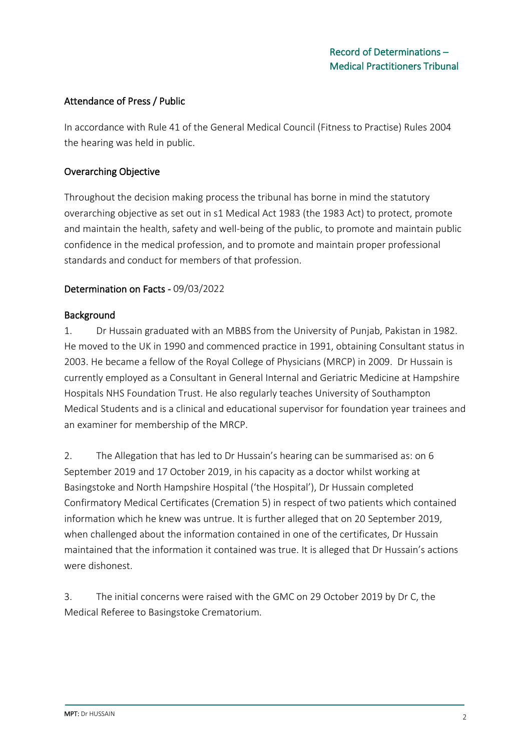### Attendance of Press / Public

In accordance with Rule 41 of the General Medical Council (Fitness to Practise) Rules 2004 the hearing was held in public.

### Overarching Objective

Throughout the decision making process the tribunal has borne in mind the statutory overarching objective as set out in s1 Medical Act 1983 (the 1983 Act) to protect, promote and maintain the health, safety and well-being of the public, to promote and maintain public confidence in the medical profession, and to promote and maintain proper professional standards and conduct for members of that profession.

### Determination on Facts - 09/03/2022

#### Background

1. Dr Hussain graduated with an MBBS from the University of Punjab, Pakistan in 1982. He moved to the UK in 1990 and commenced practice in 1991, obtaining Consultant status in 2003. He became a fellow of the Royal College of Physicians (MRCP) in 2009. Dr Hussain is currently employed as a Consultant in General Internal and Geriatric Medicine at Hampshire Hospitals NHS Foundation Trust. He also regularly teaches University of Southampton Medical Students and is a clinical and educational supervisor for foundation year trainees and an examiner for membership of the MRCP.

2. The Allegation that has led to Dr Hussain's hearing can be summarised as: on 6 September 2019 and 17 October 2019, in his capacity as a doctor whilst working at Basingstoke and North Hampshire Hospital ('the Hospital'), Dr Hussain completed Confirmatory Medical Certificates (Cremation 5) in respect of two patients which contained information which he knew was untrue. It is further alleged that on 20 September 2019, when challenged about the information contained in one of the certificates, Dr Hussain maintained that the information it contained was true. It is alleged that Dr Hussain's actions were dishonest.

3. The initial concerns were raised with the GMC on 29 October 2019 by Dr C, the Medical Referee to Basingstoke Crematorium.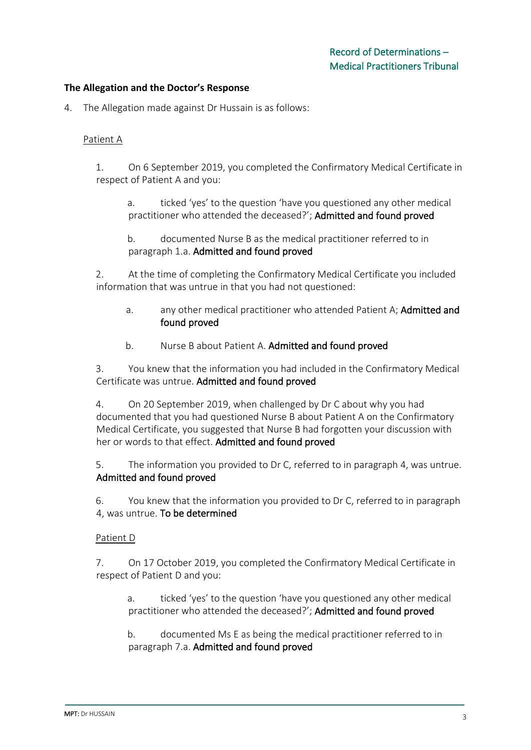#### **The Allegation and the Doctor's Response**

4. The Allegation made against Dr Hussain is as follows:

#### Patient A

1. On 6 September 2019, you completed the Confirmatory Medical Certificate in respect of Patient A and you:

a. ticked 'yes' to the question 'have you questioned any other medical practitioner who attended the deceased?'; Admitted and found proved

b. documented Nurse B as the medical practitioner referred to in paragraph 1.a. Admitted and found proved

2. At the time of completing the Confirmatory Medical Certificate you included information that was untrue in that you had not questioned:

- a. any other medical practitioner who attended Patient A; Admitted and found proved
- b. Nurse B about Patient A. Admitted and found proved

3. You knew that the information you had included in the Confirmatory Medical Certificate was untrue. Admitted and found proved

4. On 20 September 2019, when challenged by Dr C about why you had documented that you had questioned Nurse B about Patient A on the Confirmatory Medical Certificate, you suggested that Nurse B had forgotten your discussion with her or words to that effect. Admitted and found proved

5. The information you provided to Dr C, referred to in paragraph 4, was untrue. Admitted and found proved

6. You knew that the information you provided to Dr C, referred to in paragraph 4, was untrue. To be determined

#### Patient D

7. On 17 October 2019, you completed the Confirmatory Medical Certificate in respect of Patient D and you:

a. ticked 'yes' to the question 'have you questioned any other medical practitioner who attended the deceased?'; Admitted and found proved

b. documented Ms E as being the medical practitioner referred to in paragraph 7.a. Admitted and found proved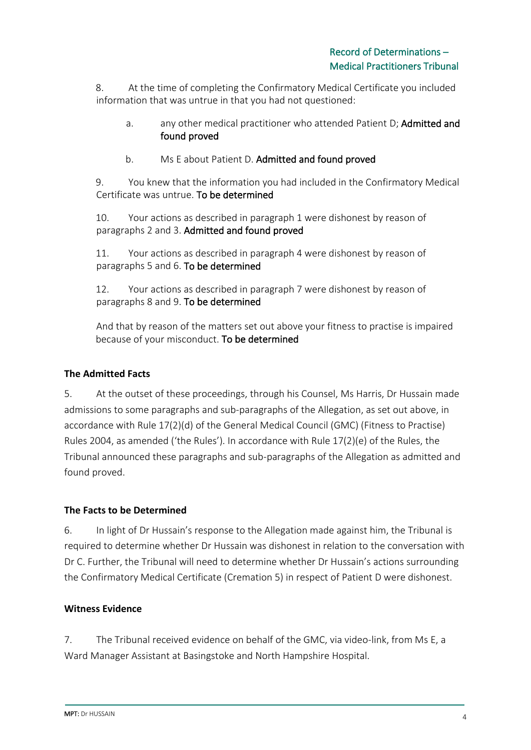8. At the time of completing the Confirmatory Medical Certificate you included information that was untrue in that you had not questioned:

- a. any other medical practitioner who attended Patient D; Admitted and found proved
- b. Ms E about Patient D. Admitted and found proved

9. You knew that the information you had included in the Confirmatory Medical Certificate was untrue. To be determined

10. Your actions as described in paragraph 1 were dishonest by reason of paragraphs 2 and 3. Admitted and found proved

11. Your actions as described in paragraph 4 were dishonest by reason of paragraphs 5 and 6. To be determined

12. Your actions as described in paragraph 7 were dishonest by reason of paragraphs 8 and 9. To be determined

And that by reason of the matters set out above your fitness to practise is impaired because of your misconduct. To be determined

### **The Admitted Facts**

5. At the outset of these proceedings, through his Counsel, Ms Harris, Dr Hussain made admissions to some paragraphs and sub-paragraphs of the Allegation, as set out above, in accordance with Rule 17(2)(d) of the General Medical Council (GMC) (Fitness to Practise) Rules 2004, as amended ('the Rules'). In accordance with Rule 17(2)(e) of the Rules, the Tribunal announced these paragraphs and sub-paragraphs of the Allegation as admitted and found proved.

### **The Facts to be Determined**

6. In light of Dr Hussain's response to the Allegation made against him, the Tribunal is required to determine whether Dr Hussain was dishonest in relation to the conversation with Dr C. Further, the Tribunal will need to determine whether Dr Hussain's actions surrounding the Confirmatory Medical Certificate (Cremation 5) in respect of Patient D were dishonest.

### **Witness Evidence**

7. The Tribunal received evidence on behalf of the GMC, via video-link, from Ms E, a Ward Manager Assistant at Basingstoke and North Hampshire Hospital.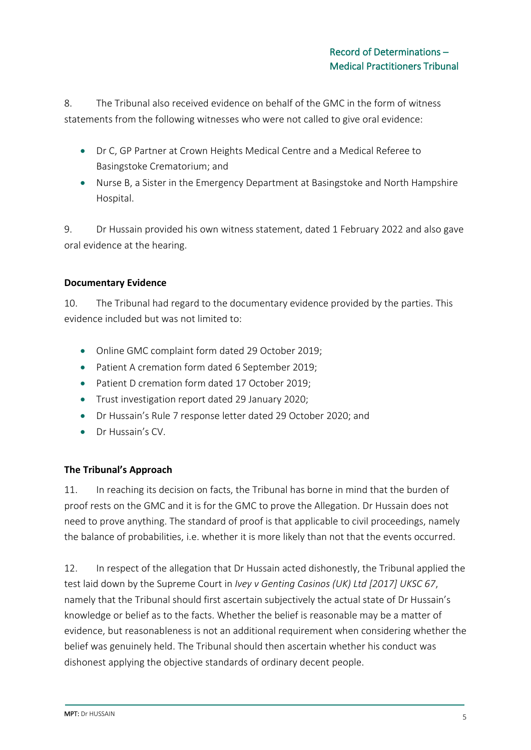8. The Tribunal also received evidence on behalf of the GMC in the form of witness statements from the following witnesses who were not called to give oral evidence:

- Dr C, GP Partner at Crown Heights Medical Centre and a Medical Referee to Basingstoke Crematorium; and
- Nurse B, a Sister in the Emergency Department at Basingstoke and North Hampshire Hospital.

9. Dr Hussain provided his own witness statement, dated 1 February 2022 and also gave oral evidence at the hearing.

### **Documentary Evidence**

10. The Tribunal had regard to the documentary evidence provided by the parties. This evidence included but was not limited to:

- Online GMC complaint form dated 29 October 2019;
- Patient A cremation form dated 6 September 2019;
- Patient D cremation form dated 17 October 2019;
- Trust investigation report dated 29 January 2020;
- Dr Hussain's Rule 7 response letter dated 29 October 2020; and
- Dr Hussain's CV.

## **The Tribunal's Approach**

11. In reaching its decision on facts, the Tribunal has borne in mind that the burden of proof rests on the GMC and it is for the GMC to prove the Allegation. Dr Hussain does not need to prove anything. The standard of proof is that applicable to civil proceedings, namely the balance of probabilities, i.e. whether it is more likely than not that the events occurred.

12. In respect of the allegation that Dr Hussain acted dishonestly, the Tribunal applied the test laid down by the Supreme Court in *Ivey v Genting Casinos (UK) Ltd [2017] UKSC 67*, namely that the Tribunal should first ascertain subjectively the actual state of Dr Hussain's knowledge or belief as to the facts. Whether the belief is reasonable may be a matter of evidence, but reasonableness is not an additional requirement when considering whether the belief was genuinely held. The Tribunal should then ascertain whether his conduct was dishonest applying the objective standards of ordinary decent people.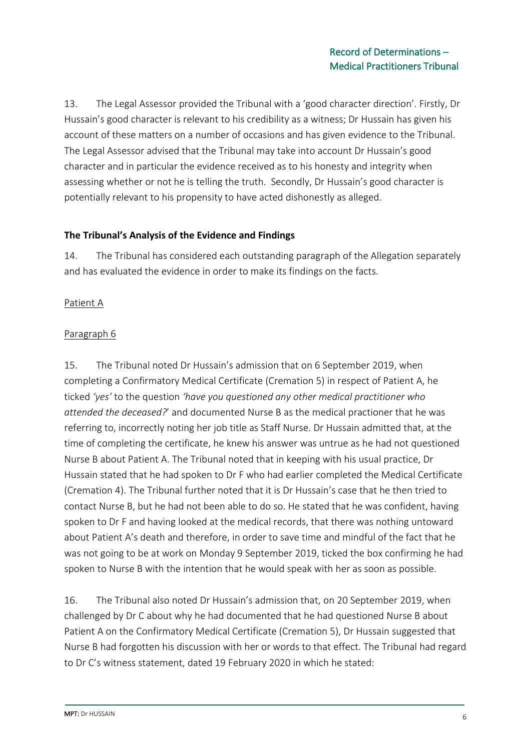13. The Legal Assessor provided the Tribunal with a 'good character direction'. Firstly, Dr Hussain's good character is relevant to his credibility as a witness; Dr Hussain has given his account of these matters on a number of occasions and has given evidence to the Tribunal. The Legal Assessor advised that the Tribunal may take into account Dr Hussain's good character and in particular the evidence received as to his honesty and integrity when assessing whether or not he is telling the truth. Secondly, Dr Hussain's good character is potentially relevant to his propensity to have acted dishonestly as alleged.

#### **The Tribunal's Analysis of the Evidence and Findings**

14. The Tribunal has considered each outstanding paragraph of the Allegation separately and has evaluated the evidence in order to make its findings on the facts.

### Patient A

### Paragraph 6

15. The Tribunal noted Dr Hussain's admission that on 6 September 2019, when completing a Confirmatory Medical Certificate (Cremation 5) in respect of Patient A, he ticked *'yes'* to the question *'have you questioned any other medical practitioner who attended the deceased?*' and documented Nurse B as the medical practioner that he was referring to, incorrectly noting her job title as Staff Nurse. Dr Hussain admitted that, at the time of completing the certificate, he knew his answer was untrue as he had not questioned Nurse B about Patient A. The Tribunal noted that in keeping with his usual practice, Dr Hussain stated that he had spoken to Dr F who had earlier completed the Medical Certificate (Cremation 4). The Tribunal further noted that it is Dr Hussain's case that he then tried to contact Nurse B, but he had not been able to do so. He stated that he was confident, having spoken to Dr F and having looked at the medical records, that there was nothing untoward about Patient A's death and therefore, in order to save time and mindful of the fact that he was not going to be at work on Monday 9 September 2019, ticked the box confirming he had spoken to Nurse B with the intention that he would speak with her as soon as possible.

16. The Tribunal also noted Dr Hussain's admission that, on 20 September 2019, when challenged by Dr C about why he had documented that he had questioned Nurse B about Patient A on the Confirmatory Medical Certificate (Cremation 5), Dr Hussain suggested that Nurse B had forgotten his discussion with her or words to that effect. The Tribunal had regard to Dr C's witness statement, dated 19 February 2020 in which he stated: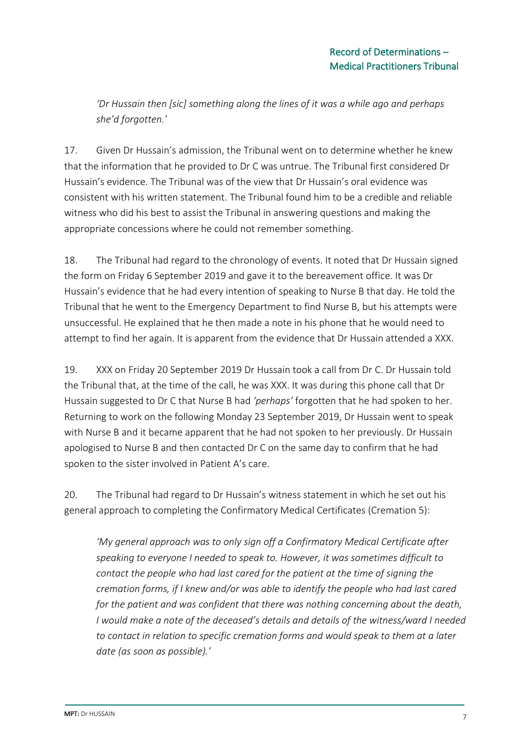*'Dr Hussain then [sic] something along the lines of it was a while ago and perhaps she'd forgotten.'*

17. Given Dr Hussain's admission, the Tribunal went on to determine whether he knew that the information that he provided to Dr C was untrue. The Tribunal first considered Dr Hussain's evidence. The Tribunal was of the view that Dr Hussain's oral evidence was consistent with his written statement. The Tribunal found him to be a credible and reliable witness who did his best to assist the Tribunal in answering questions and making the appropriate concessions where he could not remember something.

18. The Tribunal had regard to the chronology of events. It noted that Dr Hussain signed the form on Friday 6 September 2019 and gave it to the bereavement office. It was Dr Hussain's evidence that he had every intention of speaking to Nurse B that day. He told the Tribunal that he went to the Emergency Department to find Nurse B, but his attempts were unsuccessful. He explained that he then made a note in his phone that he would need to attempt to find her again. It is apparent from the evidence that Dr Hussain attended a XXX.

19. XXX on Friday 20 September 2019 Dr Hussain took a call from Dr C. Dr Hussain told the Tribunal that, at the time of the call, he was XXX. It was during this phone call that Dr Hussain suggested to Dr C that Nurse B had *'perhaps'* forgotten that he had spoken to her. Returning to work on the following Monday 23 September 2019, Dr Hussain went to speak with Nurse B and it became apparent that he had not spoken to her previously. Dr Hussain apologised to Nurse B and then contacted Dr C on the same day to confirm that he had spoken to the sister involved in Patient A's care.

20. The Tribunal had regard to Dr Hussain's witness statement in which he set out his general approach to completing the Confirmatory Medical Certificates (Cremation 5):

*'My general approach was to only sign off a Confirmatory Medical Certificate after speaking to everyone I needed to speak to. However, it was sometimes difficult to contact the people who had last cared for the patient at the time of signing the cremation forms, if I knew and/or was able to identify the people who had last cared for the patient and was confident that there was nothing concerning about the death, I would make a note of the deceased's details and details of the witness/ward I needed to contact in relation to specific cremation forms and would speak to them at a later date (as soon as possible).'*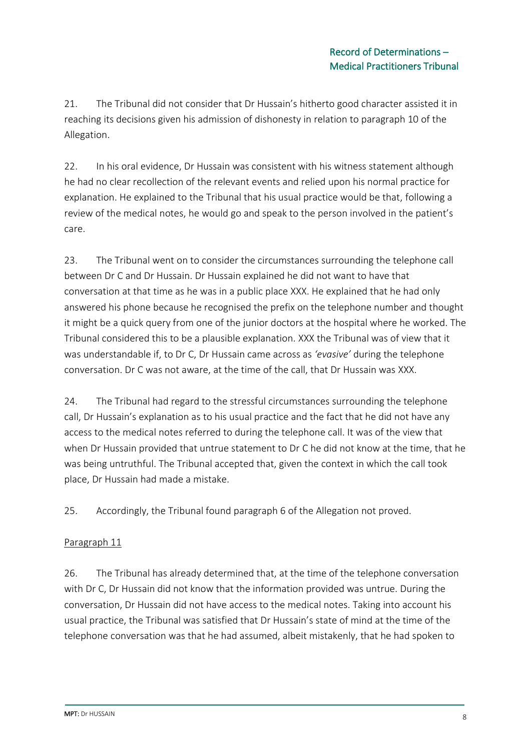21. The Tribunal did not consider that Dr Hussain's hitherto good character assisted it in reaching its decisions given his admission of dishonesty in relation to paragraph 10 of the Allegation.

22. In his oral evidence, Dr Hussain was consistent with his witness statement although he had no clear recollection of the relevant events and relied upon his normal practice for explanation. He explained to the Tribunal that his usual practice would be that, following a review of the medical notes, he would go and speak to the person involved in the patient's care.

23. The Tribunal went on to consider the circumstances surrounding the telephone call between Dr C and Dr Hussain. Dr Hussain explained he did not want to have that conversation at that time as he was in a public place XXX. He explained that he had only answered his phone because he recognised the prefix on the telephone number and thought it might be a quick query from one of the junior doctors at the hospital where he worked. The Tribunal considered this to be a plausible explanation. XXX the Tribunal was of view that it was understandable if, to Dr C, Dr Hussain came across as *'evasive'* during the telephone conversation. Dr C was not aware, at the time of the call, that Dr Hussain was XXX.

24. The Tribunal had regard to the stressful circumstances surrounding the telephone call, Dr Hussain's explanation as to his usual practice and the fact that he did not have any access to the medical notes referred to during the telephone call. It was of the view that when Dr Hussain provided that untrue statement to Dr C he did not know at the time, that he was being untruthful. The Tribunal accepted that, given the context in which the call took place, Dr Hussain had made a mistake.

25. Accordingly, the Tribunal found paragraph 6 of the Allegation not proved.

### Paragraph 11

26. The Tribunal has already determined that, at the time of the telephone conversation with Dr C, Dr Hussain did not know that the information provided was untrue. During the conversation, Dr Hussain did not have access to the medical notes. Taking into account his usual practice, the Tribunal was satisfied that Dr Hussain's state of mind at the time of the telephone conversation was that he had assumed, albeit mistakenly, that he had spoken to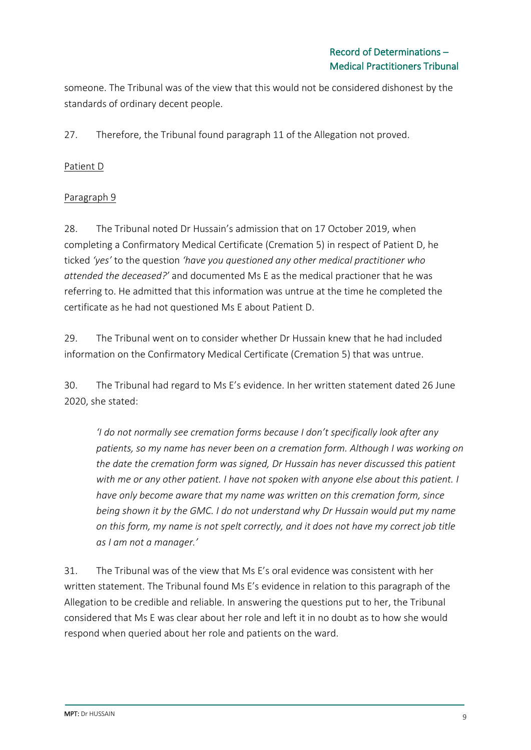someone. The Tribunal was of the view that this would not be considered dishonest by the standards of ordinary decent people.

27. Therefore, the Tribunal found paragraph 11 of the Allegation not proved.

### Patient D

### Paragraph 9

28. The Tribunal noted Dr Hussain's admission that on 17 October 2019, when completing a Confirmatory Medical Certificate (Cremation 5) in respect of Patient D, he ticked *'yes'* to the question *'have you questioned any other medical practitioner who attended the deceased?'* and documented Ms E as the medical practioner that he was referring to. He admitted that this information was untrue at the time he completed the certificate as he had not questioned Ms E about Patient D.

29. The Tribunal went on to consider whether Dr Hussain knew that he had included information on the Confirmatory Medical Certificate (Cremation 5) that was untrue.

30. The Tribunal had regard to Ms E's evidence. In her written statement dated 26 June 2020, she stated:

*'I do not normally see cremation forms because I don't specifically look after any patients, so my name has never been on a cremation form. Although I was working on the date the cremation form was signed, Dr Hussain has never discussed this patient with me or any other patient. I have not spoken with anyone else about this patient. I have only become aware that my name was written on this cremation form, since being shown it by the GMC. I do not understand why Dr Hussain would put my name on this form, my name is not spelt correctly, and it does not have my correct job title as I am not a manager.'*

31. The Tribunal was of the view that Ms E's oral evidence was consistent with her written statement. The Tribunal found Ms E's evidence in relation to this paragraph of the Allegation to be credible and reliable. In answering the questions put to her, the Tribunal considered that Ms E was clear about her role and left it in no doubt as to how she would respond when queried about her role and patients on the ward.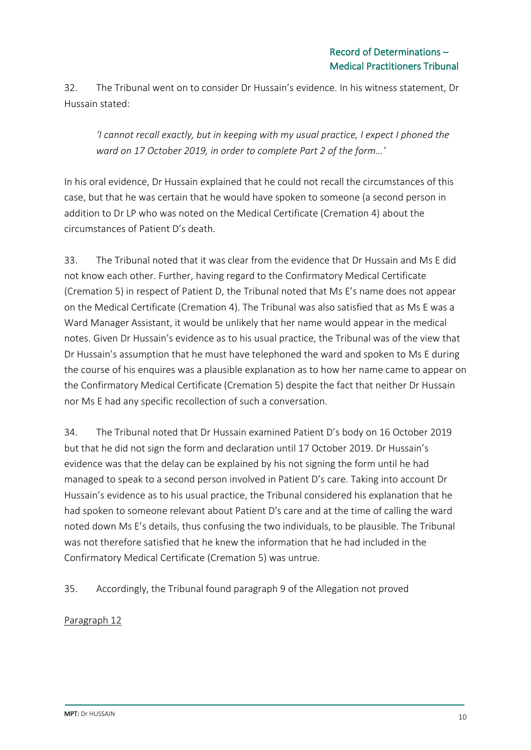32. The Tribunal went on to consider Dr Hussain's evidence. In his witness statement, Dr Hussain stated:

*'I cannot recall exactly, but in keeping with my usual practice, I expect I phoned the ward on 17 October 2019, in order to complete Part 2 of the form…'*

In his oral evidence, Dr Hussain explained that he could not recall the circumstances of this case, but that he was certain that he would have spoken to someone (a second person in addition to Dr LP who was noted on the Medical Certificate (Cremation 4) about the circumstances of Patient D's death.

33. The Tribunal noted that it was clear from the evidence that Dr Hussain and Ms E did not know each other. Further, having regard to the Confirmatory Medical Certificate (Cremation 5) in respect of Patient D, the Tribunal noted that Ms E's name does not appear on the Medical Certificate (Cremation 4). The Tribunal was also satisfied that as Ms E was a Ward Manager Assistant, it would be unlikely that her name would appear in the medical notes. Given Dr Hussain's evidence as to his usual practice, the Tribunal was of the view that Dr Hussain's assumption that he must have telephoned the ward and spoken to Ms E during the course of his enquires was a plausible explanation as to how her name came to appear on the Confirmatory Medical Certificate (Cremation 5) despite the fact that neither Dr Hussain nor Ms E had any specific recollection of such a conversation.

34. The Tribunal noted that Dr Hussain examined Patient D's body on 16 October 2019 but that he did not sign the form and declaration until 17 October 2019. Dr Hussain's evidence was that the delay can be explained by his not signing the form until he had managed to speak to a second person involved in Patient D's care. Taking into account Dr Hussain's evidence as to his usual practice, the Tribunal considered his explanation that he had spoken to someone relevant about Patient D's care and at the time of calling the ward noted down Ms E's details, thus confusing the two individuals, to be plausible. The Tribunal was not therefore satisfied that he knew the information that he had included in the Confirmatory Medical Certificate (Cremation 5) was untrue.

35. Accordingly, the Tribunal found paragraph 9 of the Allegation not proved

Paragraph 12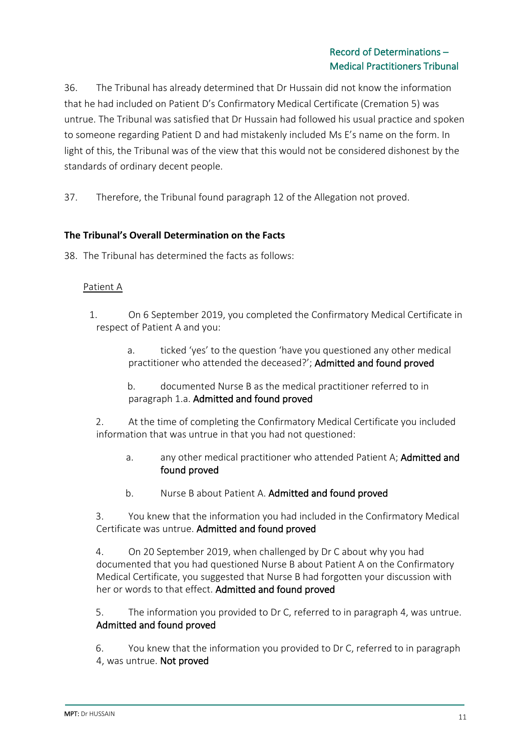36. The Tribunal has already determined that Dr Hussain did not know the information that he had included on Patient D's Confirmatory Medical Certificate (Cremation 5) was untrue. The Tribunal was satisfied that Dr Hussain had followed his usual practice and spoken to someone regarding Patient D and had mistakenly included Ms E's name on the form. In light of this, the Tribunal was of the view that this would not be considered dishonest by the standards of ordinary decent people.

37. Therefore, the Tribunal found paragraph 12 of the Allegation not proved.

#### **The Tribunal's Overall Determination on the Facts**

38. The Tribunal has determined the facts as follows:

#### Patient A

- 1. On 6 September 2019, you completed the Confirmatory Medical Certificate in respect of Patient A and you:
	- a. ticked 'yes' to the question 'have you questioned any other medical practitioner who attended the deceased?'; Admitted and found proved
	- b. documented Nurse B as the medical practitioner referred to in paragraph 1.a. Admitted and found proved

2. At the time of completing the Confirmatory Medical Certificate you included information that was untrue in that you had not questioned:

- a. any other medical practitioner who attended Patient A; **Admitted and** found proved
- b. Nurse B about Patient A. Admitted and found proved

3. You knew that the information you had included in the Confirmatory Medical Certificate was untrue. Admitted and found proved

4. On 20 September 2019, when challenged by Dr C about why you had documented that you had questioned Nurse B about Patient A on the Confirmatory Medical Certificate, you suggested that Nurse B had forgotten your discussion with her or words to that effect. Admitted and found proved

5. The information you provided to Dr C, referred to in paragraph 4, was untrue. Admitted and found proved

6. You knew that the information you provided to Dr C, referred to in paragraph 4, was untrue. Not proved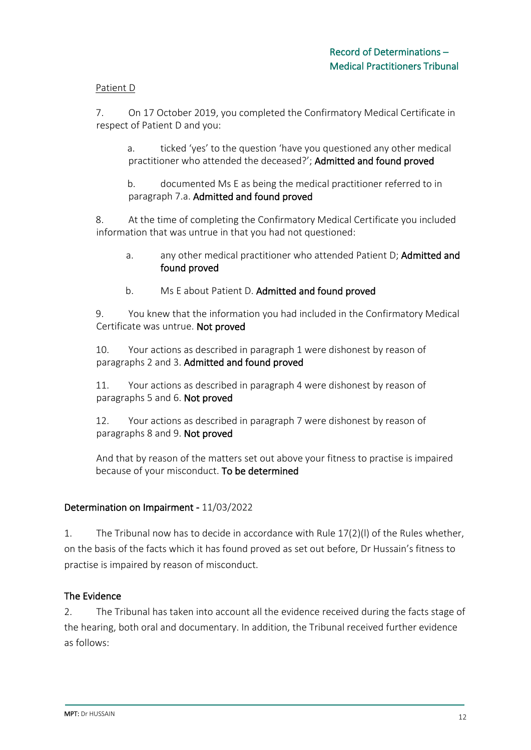#### Patient D

7. On 17 October 2019, you completed the Confirmatory Medical Certificate in respect of Patient D and you:

a. ticked 'yes' to the question 'have you questioned any other medical practitioner who attended the deceased?'; Admitted and found proved

b. documented Ms E as being the medical practitioner referred to in paragraph 7.a. Admitted and found proved

8. At the time of completing the Confirmatory Medical Certificate you included information that was untrue in that you had not questioned:

- a. any other medical practitioner who attended Patient D; Admitted and found proved
- b. Ms E about Patient D. Admitted and found proved

9. You knew that the information you had included in the Confirmatory Medical Certificate was untrue. Not proved

10. Your actions as described in paragraph 1 were dishonest by reason of paragraphs 2 and 3. Admitted and found proved

11. Your actions as described in paragraph 4 were dishonest by reason of paragraphs 5 and 6. Not proved

12. Your actions as described in paragraph 7 were dishonest by reason of paragraphs 8 and 9. Not proved

And that by reason of the matters set out above your fitness to practise is impaired because of your misconduct. To be determined

### Determination on Impairment - 11/03/2022

1. The Tribunal now has to decide in accordance with Rule 17(2)(l) of the Rules whether, on the basis of the facts which it has found proved as set out before, Dr Hussain's fitness to practise is impaired by reason of misconduct.

#### The Evidence

2. The Tribunal has taken into account all the evidence received during the facts stage of the hearing, both oral and documentary. In addition, the Tribunal received further evidence as follows: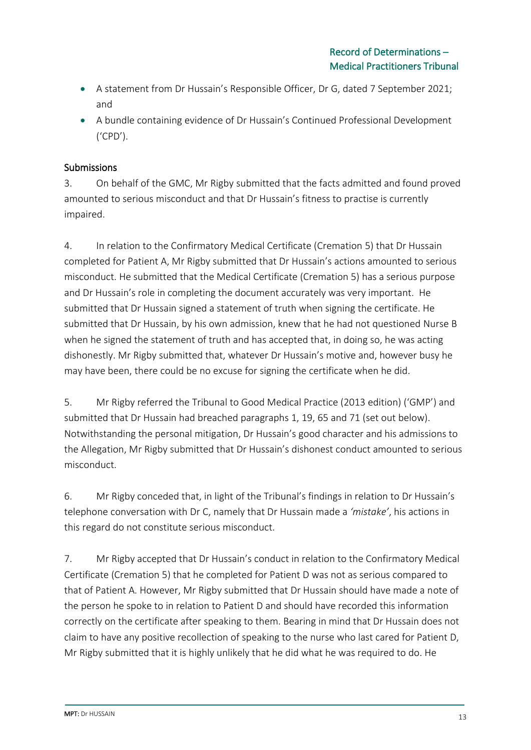- A statement from Dr Hussain's Responsible Officer, Dr G, dated 7 September 2021; and
- A bundle containing evidence of Dr Hussain's Continued Professional Development ('CPD').

### **Submissions**

3. On behalf of the GMC, Mr Rigby submitted that the facts admitted and found proved amounted to serious misconduct and that Dr Hussain's fitness to practise is currently impaired.

4. In relation to the Confirmatory Medical Certificate (Cremation 5) that Dr Hussain completed for Patient A, Mr Rigby submitted that Dr Hussain's actions amounted to serious misconduct. He submitted that the Medical Certificate (Cremation 5) has a serious purpose and Dr Hussain's role in completing the document accurately was very important. He submitted that Dr Hussain signed a statement of truth when signing the certificate. He submitted that Dr Hussain, by his own admission, knew that he had not questioned Nurse B when he signed the statement of truth and has accepted that, in doing so, he was acting dishonestly. Mr Rigby submitted that, whatever Dr Hussain's motive and, however busy he may have been, there could be no excuse for signing the certificate when he did.

5. Mr Rigby referred the Tribunal to Good Medical Practice (2013 edition) ('GMP') and submitted that Dr Hussain had breached paragraphs 1, 19, 65 and 71 (set out below). Notwithstanding the personal mitigation, Dr Hussain's good character and his admissions to the Allegation, Mr Rigby submitted that Dr Hussain's dishonest conduct amounted to serious misconduct.

6. Mr Rigby conceded that, in light of the Tribunal's findings in relation to Dr Hussain's telephone conversation with Dr C, namely that Dr Hussain made a *'mistake'*, his actions in this regard do not constitute serious misconduct.

7. Mr Rigby accepted that Dr Hussain's conduct in relation to the Confirmatory Medical Certificate (Cremation 5) that he completed for Patient D was not as serious compared to that of Patient A. However, Mr Rigby submitted that Dr Hussain should have made a note of the person he spoke to in relation to Patient D and should have recorded this information correctly on the certificate after speaking to them. Bearing in mind that Dr Hussain does not claim to have any positive recollection of speaking to the nurse who last cared for Patient D, Mr Rigby submitted that it is highly unlikely that he did what he was required to do. He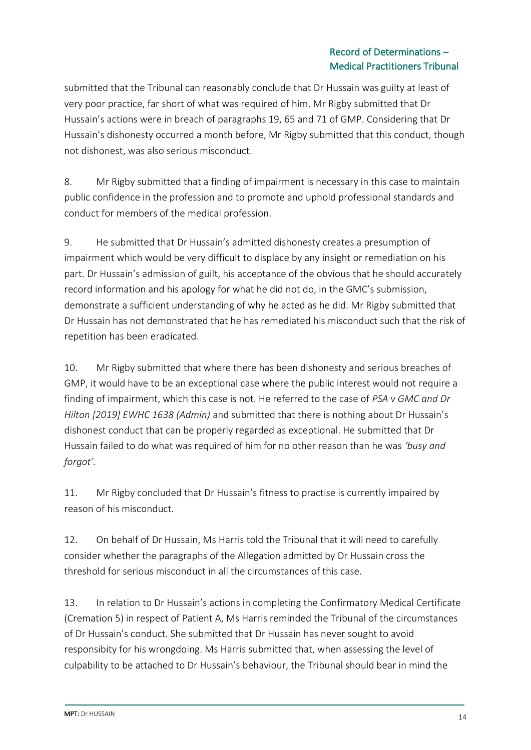### Record of Determinations – Medical Practitioners Tribunal

submitted that the Tribunal can reasonably conclude that Dr Hussain was guilty at least of very poor practice, far short of what was required of him. Mr Rigby submitted that Dr Hussain's actions were in breach of paragraphs 19, 65 and 71 of GMP. Considering that Dr Hussain's dishonesty occurred a month before, Mr Rigby submitted that this conduct, though not dishonest, was also serious misconduct.

8. Mr Rigby submitted that a finding of impairment is necessary in this case to maintain public confidence in the profession and to promote and uphold professional standards and conduct for members of the medical profession.

9. He submitted that Dr Hussain's admitted dishonesty creates a presumption of impairment which would be very difficult to displace by any insight or remediation on his part. Dr Hussain's admission of guilt, his acceptance of the obvious that he should accurately record information and his apology for what he did not do, in the GMC's submission, demonstrate a sufficient understanding of why he acted as he did. Mr Rigby submitted that Dr Hussain has not demonstrated that he has remediated his misconduct such that the risk of repetition has been eradicated.

10. Mr Rigby submitted that where there has been dishonesty and serious breaches of GMP, it would have to be an exceptional case where the public interest would not require a finding of impairment, which this case is not. He referred to the case of *PSA v GMC and Dr Hilton [2019] EWHC 1638 (Admin)* and submitted that there is nothing about Dr Hussain's dishonest conduct that can be properly regarded as exceptional. He submitted that Dr Hussain failed to do what was required of him for no other reason than he was *'busy and forgot'.*

11. Mr Rigby concluded that Dr Hussain's fitness to practise is currently impaired by reason of his misconduct.

12. On behalf of Dr Hussain, Ms Harris told the Tribunal that it will need to carefully consider whether the paragraphs of the Allegation admitted by Dr Hussain cross the threshold for serious misconduct in all the circumstances of this case.

13. In relation to Dr Hussain's actions in completing the Confirmatory Medical Certificate (Cremation 5) in respect of Patient A, Ms Harris reminded the Tribunal of the circumstances of Dr Hussain's conduct. She submitted that Dr Hussain has never sought to avoid responsibity for his wrongdoing. Ms Harris submitted that, when assessing the level of culpability to be attached to Dr Hussain's behaviour, the Tribunal should bear in mind the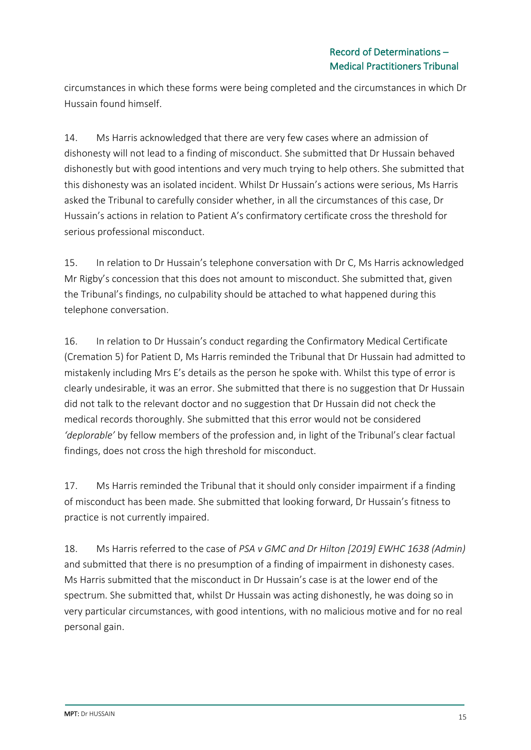circumstances in which these forms were being completed and the circumstances in which Dr Hussain found himself.

14. Ms Harris acknowledged that there are very few cases where an admission of dishonesty will not lead to a finding of misconduct. She submitted that Dr Hussain behaved dishonestly but with good intentions and very much trying to help others. She submitted that this dishonesty was an isolated incident. Whilst Dr Hussain's actions were serious, Ms Harris asked the Tribunal to carefully consider whether, in all the circumstances of this case, Dr Hussain's actions in relation to Patient A's confirmatory certificate cross the threshold for serious professional misconduct.

15. In relation to Dr Hussain's telephone conversation with Dr C, Ms Harris acknowledged Mr Rigby's concession that this does not amount to misconduct. She submitted that, given the Tribunal's findings, no culpability should be attached to what happened during this telephone conversation.

16. In relation to Dr Hussain's conduct regarding the Confirmatory Medical Certificate (Cremation 5) for Patient D, Ms Harris reminded the Tribunal that Dr Hussain had admitted to mistakenly including Mrs E's details as the person he spoke with. Whilst this type of error is clearly undesirable, it was an error. She submitted that there is no suggestion that Dr Hussain did not talk to the relevant doctor and no suggestion that Dr Hussain did not check the medical records thoroughly. She submitted that this error would not be considered *'deplorable'* by fellow members of the profession and, in light of the Tribunal's clear factual findings, does not cross the high threshold for misconduct.

17. Ms Harris reminded the Tribunal that it should only consider impairment if a finding of misconduct has been made. She submitted that looking forward, Dr Hussain's fitness to practice is not currently impaired.

18. Ms Harris referred to the case of *PSA v GMC and Dr Hilton [2019] EWHC 1638 (Admin)*  and submitted that there is no presumption of a finding of impairment in dishonesty cases. Ms Harris submitted that the misconduct in Dr Hussain's case is at the lower end of the spectrum. She submitted that, whilst Dr Hussain was acting dishonestly, he was doing so in very particular circumstances, with good intentions, with no malicious motive and for no real personal gain.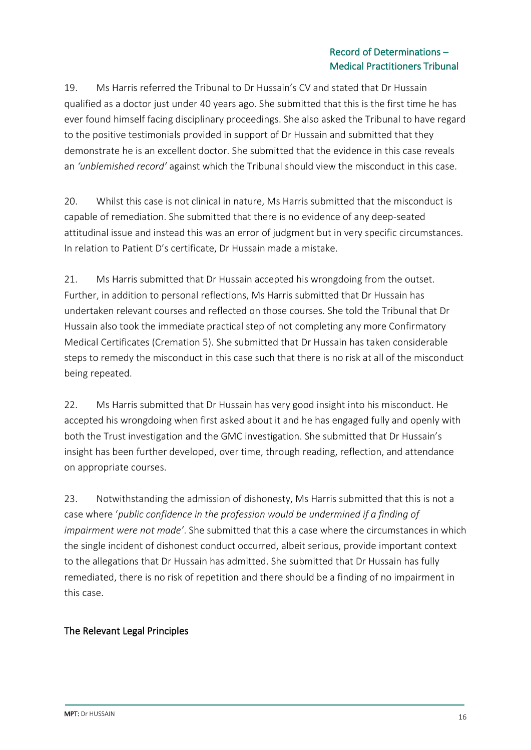### Record of Determinations – Medical Practitioners Tribunal

19. Ms Harris referred the Tribunal to Dr Hussain's CV and stated that Dr Hussain qualified as a doctor just under 40 years ago. She submitted that this is the first time he has ever found himself facing disciplinary proceedings. She also asked the Tribunal to have regard to the positive testimonials provided in support of Dr Hussain and submitted that they demonstrate he is an excellent doctor. She submitted that the evidence in this case reveals an *'unblemished record'* against which the Tribunal should view the misconduct in this case.

20. Whilst this case is not clinical in nature, Ms Harris submitted that the misconduct is capable of remediation. She submitted that there is no evidence of any deep-seated attitudinal issue and instead this was an error of judgment but in very specific circumstances. In relation to Patient D's certificate, Dr Hussain made a mistake.

21. Ms Harris submitted that Dr Hussain accepted his wrongdoing from the outset. Further, in addition to personal reflections, Ms Harris submitted that Dr Hussain has undertaken relevant courses and reflected on those courses. She told the Tribunal that Dr Hussain also took the immediate practical step of not completing any more Confirmatory Medical Certificates (Cremation 5). She submitted that Dr Hussain has taken considerable steps to remedy the misconduct in this case such that there is no risk at all of the misconduct being repeated.

22. Ms Harris submitted that Dr Hussain has very good insight into his misconduct. He accepted his wrongdoing when first asked about it and he has engaged fully and openly with both the Trust investigation and the GMC investigation. She submitted that Dr Hussain's insight has been further developed, over time, through reading, reflection, and attendance on appropriate courses.

23. Notwithstanding the admission of dishonesty, Ms Harris submitted that this is not a case where '*public confidence in the profession would be undermined if a finding of impairment were not made'*. She submitted that this a case where the circumstances in which the single incident of dishonest conduct occurred, albeit serious, provide important context to the allegations that Dr Hussain has admitted. She submitted that Dr Hussain has fully remediated, there is no risk of repetition and there should be a finding of no impairment in this case.

## The Relevant Legal Principles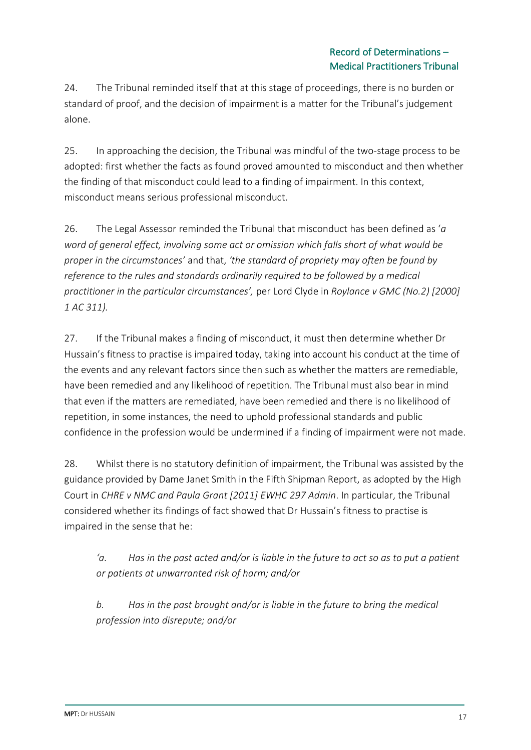24. The Tribunal reminded itself that at this stage of proceedings, there is no burden or standard of proof, and the decision of impairment is a matter for the Tribunal's judgement alone.

25. In approaching the decision, the Tribunal was mindful of the two-stage process to be adopted: first whether the facts as found proved amounted to misconduct and then whether the finding of that misconduct could lead to a finding of impairment. In this context, misconduct means serious professional misconduct.

26. The Legal Assessor reminded the Tribunal that misconduct has been defined as '*a word of general effect, involving some act or omission which falls short of what would be proper in the circumstances'* and that, *'the standard of propriety may often be found by reference to the rules and standards ordinarily required to be followed by a medical practitioner in the particular circumstances',* per Lord Clyde in *Roylance v GMC (No.2) [2000] 1 AC 311).*

27. If the Tribunal makes a finding of misconduct, it must then determine whether Dr Hussain's fitness to practise is impaired today, taking into account his conduct at the time of the events and any relevant factors since then such as whether the matters are remediable, have been remedied and any likelihood of repetition. The Tribunal must also bear in mind that even if the matters are remediated, have been remedied and there is no likelihood of repetition, in some instances, the need to uphold professional standards and public confidence in the profession would be undermined if a finding of impairment were not made.

28. Whilst there is no statutory definition of impairment, the Tribunal was assisted by the guidance provided by Dame Janet Smith in the Fifth Shipman Report, as adopted by the High Court in *CHRE v NMC and Paula Grant [2011] EWHC 297 Admin*. In particular, the Tribunal considered whether its findings of fact showed that Dr Hussain's fitness to practise is impaired in the sense that he:

*'a. Has in the past acted and/or is liable in the future to act so as to put a patient or patients at unwarranted risk of harm; and/or*

*b. Has in the past brought and/or is liable in the future to bring the medical profession into disrepute; and/or*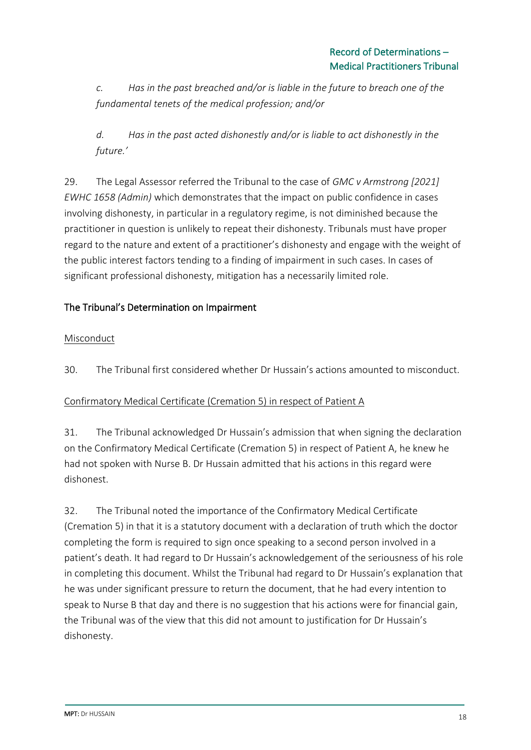*c. Has in the past breached and/or is liable in the future to breach one of the fundamental tenets of the medical profession; and/or*

*d. Has in the past acted dishonestly and/or is liable to act dishonestly in the future.'*

29. The Legal Assessor referred the Tribunal to the case of *GMC v Armstrong [2021] EWHC 1658 (Admin)* which demonstrates that the impact on public confidence in cases involving dishonesty, in particular in a regulatory regime, is not diminished because the practitioner in question is unlikely to repeat their dishonesty. Tribunals must have proper regard to the nature and extent of a practitioner's dishonesty and engage with the weight of the public interest factors tending to a finding of impairment in such cases. In cases of significant professional dishonesty, mitigation has a necessarily limited role.

# The Tribunal's Determination on Impairment

## Misconduct

30. The Tribunal first considered whether Dr Hussain's actions amounted to misconduct.

## Confirmatory Medical Certificate (Cremation 5) in respect of Patient A

31. The Tribunal acknowledged Dr Hussain's admission that when signing the declaration on the Confirmatory Medical Certificate (Cremation 5) in respect of Patient A, he knew he had not spoken with Nurse B. Dr Hussain admitted that his actions in this regard were dishonest.

32. The Tribunal noted the importance of the Confirmatory Medical Certificate (Cremation 5) in that it is a statutory document with a declaration of truth which the doctor completing the form is required to sign once speaking to a second person involved in a patient's death. It had regard to Dr Hussain's acknowledgement of the seriousness of his role in completing this document. Whilst the Tribunal had regard to Dr Hussain's explanation that he was under significant pressure to return the document, that he had every intention to speak to Nurse B that day and there is no suggestion that his actions were for financial gain, the Tribunal was of the view that this did not amount to justification for Dr Hussain's dishonesty.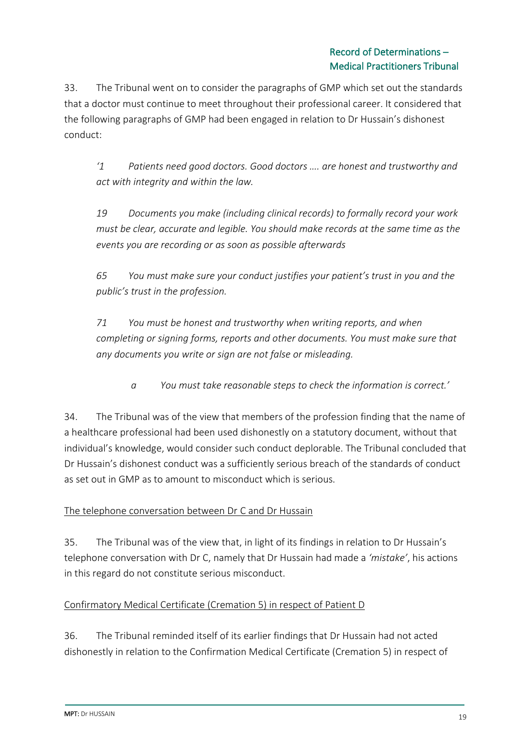33. The Tribunal went on to consider the paragraphs of GMP which set out the standards that a doctor must continue to meet throughout their professional career. It considered that the following paragraphs of GMP had been engaged in relation to Dr Hussain's dishonest conduct:

*'1 Patients need good doctors. Good doctors …. are honest and trustworthy and act with integrity and within the law.*

*19 Documents you make (including clinical records) to formally record your work must be clear, accurate and legible. You should make records at the same time as the events you are recording or as soon as possible afterwards*

*65 You must make sure your conduct justifies your patient's trust in you and the public's trust in the profession.*

*71 You must be honest and trustworthy when writing reports, and when completing or signing forms, reports and other documents. You must make sure that any documents you write or sign are not false or misleading.*

*a You must take reasonable steps to check the information is correct.'*

34. The Tribunal was of the view that members of the profession finding that the name of a healthcare professional had been used dishonestly on a statutory document, without that individual's knowledge, would consider such conduct deplorable. The Tribunal concluded that Dr Hussain's dishonest conduct was a sufficiently serious breach of the standards of conduct as set out in GMP as to amount to misconduct which is serious.

## The telephone conversation between Dr C and Dr Hussain

35. The Tribunal was of the view that, in light of its findings in relation to Dr Hussain's telephone conversation with Dr C, namely that Dr Hussain had made a *'mistake'*, his actions in this regard do not constitute serious misconduct.

## Confirmatory Medical Certificate (Cremation 5) in respect of Patient D

36. The Tribunal reminded itself of its earlier findings that Dr Hussain had not acted dishonestly in relation to the Confirmation Medical Certificate (Cremation 5) in respect of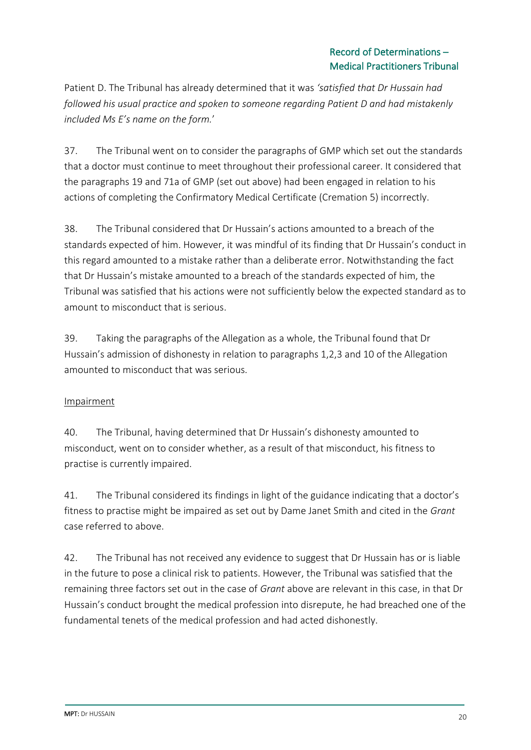Patient D. The Tribunal has already determined that it was *'satisfied that Dr Hussain had followed his usual practice and spoken to someone regarding Patient D and had mistakenly included Ms E's name on the form.*'

37. The Tribunal went on to consider the paragraphs of GMP which set out the standards that a doctor must continue to meet throughout their professional career. It considered that the paragraphs 19 and 71a of GMP (set out above) had been engaged in relation to his actions of completing the Confirmatory Medical Certificate (Cremation 5) incorrectly.

38. The Tribunal considered that Dr Hussain's actions amounted to a breach of the standards expected of him. However, it was mindful of its finding that Dr Hussain's conduct in this regard amounted to a mistake rather than a deliberate error. Notwithstanding the fact that Dr Hussain's mistake amounted to a breach of the standards expected of him, the Tribunal was satisfied that his actions were not sufficiently below the expected standard as to amount to misconduct that is serious.

39. Taking the paragraphs of the Allegation as a whole, the Tribunal found that Dr Hussain's admission of dishonesty in relation to paragraphs 1,2,3 and 10 of the Allegation amounted to misconduct that was serious.

## Impairment

40. The Tribunal, having determined that Dr Hussain's dishonesty amounted to misconduct, went on to consider whether, as a result of that misconduct, his fitness to practise is currently impaired.

41. The Tribunal considered its findings in light of the guidance indicating that a doctor's fitness to practise might be impaired as set out by Dame Janet Smith and cited in the *Grant* case referred to above.

42. The Tribunal has not received any evidence to suggest that Dr Hussain has or is liable in the future to pose a clinical risk to patients. However, the Tribunal was satisfied that the remaining three factors set out in the case of *Grant* above are relevant in this case, in that Dr Hussain's conduct brought the medical profession into disrepute, he had breached one of the fundamental tenets of the medical profession and had acted dishonestly.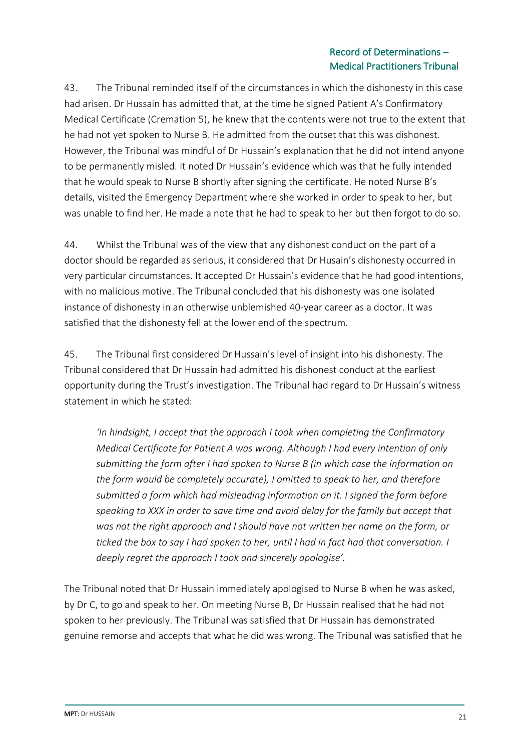### Record of Determinations – Medical Practitioners Tribunal

43. The Tribunal reminded itself of the circumstances in which the dishonesty in this case had arisen. Dr Hussain has admitted that, at the time he signed Patient A's Confirmatory Medical Certificate (Cremation 5), he knew that the contents were not true to the extent that he had not yet spoken to Nurse B. He admitted from the outset that this was dishonest. However, the Tribunal was mindful of Dr Hussain's explanation that he did not intend anyone to be permanently misled. It noted Dr Hussain's evidence which was that he fully intended that he would speak to Nurse B shortly after signing the certificate. He noted Nurse B's details, visited the Emergency Department where she worked in order to speak to her, but was unable to find her. He made a note that he had to speak to her but then forgot to do so.

44. Whilst the Tribunal was of the view that any dishonest conduct on the part of a doctor should be regarded as serious, it considered that Dr Husain's dishonesty occurred in very particular circumstances. It accepted Dr Hussain's evidence that he had good intentions, with no malicious motive. The Tribunal concluded that his dishonesty was one isolated instance of dishonesty in an otherwise unblemished 40-year career as a doctor. It was satisfied that the dishonesty fell at the lower end of the spectrum.

45. The Tribunal first considered Dr Hussain's level of insight into his dishonesty. The Tribunal considered that Dr Hussain had admitted his dishonest conduct at the earliest opportunity during the Trust's investigation. The Tribunal had regard to Dr Hussain's witness statement in which he stated:

*'In hindsight, I accept that the approach I took when completing the Confirmatory Medical Certificate for Patient A was wrong. Although I had every intention of only submitting the form after I had spoken to Nurse B (in which case the information on the form would be completely accurate), I omitted to speak to her, and therefore submitted a form which had misleading information on it. I signed the form before speaking to XXX in order to save time and avoid delay for the family but accept that was not the right approach and I should have not written her name on the form, or ticked the box to say I had spoken to her, until I had in fact had that conversation. I deeply regret the approach I took and sincerely apologise'.*

The Tribunal noted that Dr Hussain immediately apologised to Nurse B when he was asked, by Dr C, to go and speak to her. On meeting Nurse B, Dr Hussain realised that he had not spoken to her previously. The Tribunal was satisfied that Dr Hussain has demonstrated genuine remorse and accepts that what he did was wrong. The Tribunal was satisfied that he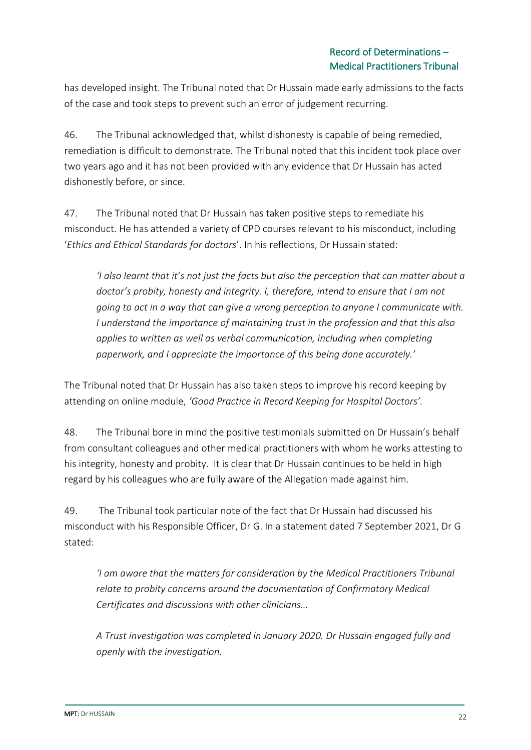has developed insight. The Tribunal noted that Dr Hussain made early admissions to the facts of the case and took steps to prevent such an error of judgement recurring.

46. The Tribunal acknowledged that, whilst dishonesty is capable of being remedied, remediation is difficult to demonstrate. The Tribunal noted that this incident took place over two years ago and it has not been provided with any evidence that Dr Hussain has acted dishonestly before, or since.

47. The Tribunal noted that Dr Hussain has taken positive steps to remediate his misconduct. He has attended a variety of CPD courses relevant to his misconduct, including '*Ethics and Ethical Standards for doctors*'. In his reflections, Dr Hussain stated:

*'I also learnt that it's not just the facts but also the perception that can matter about a doctor's probity, honesty and integrity. I, therefore, intend to ensure that I am not going to act in a way that can give a wrong perception to anyone I communicate with. I understand the importance of maintaining trust in the profession and that this also applies to written as well as verbal communication, including when completing paperwork, and I appreciate the importance of this being done accurately.'*

The Tribunal noted that Dr Hussain has also taken steps to improve his record keeping by attending on online module, *'Good Practice in Record Keeping for Hospital Doctors'.*

48. The Tribunal bore in mind the positive testimonials submitted on Dr Hussain's behalf from consultant colleagues and other medical practitioners with whom he works attesting to his integrity, honesty and probity. It is clear that Dr Hussain continues to be held in high regard by his colleagues who are fully aware of the Allegation made against him.

49. The Tribunal took particular note of the fact that Dr Hussain had discussed his misconduct with his Responsible Officer, Dr G. In a statement dated 7 September 2021, Dr G stated:

*'I am aware that the matters for consideration by the Medical Practitioners Tribunal relate to probity concerns around the documentation of Confirmatory Medical Certificates and discussions with other clinicians…*

*A Trust investigation was completed in January 2020. Dr Hussain engaged fully and openly with the investigation.*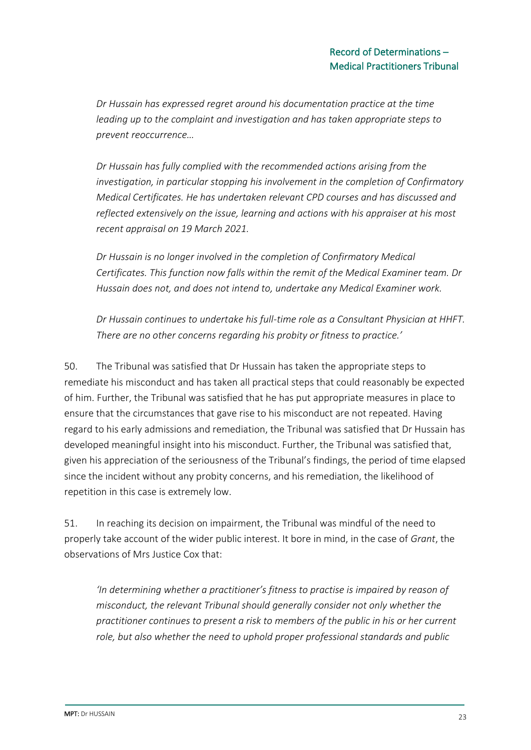*Dr Hussain has expressed regret around his documentation practice at the time leading up to the complaint and investigation and has taken appropriate steps to prevent reoccurrence…*

*Dr Hussain has fully complied with the recommended actions arising from the investigation, in particular stopping his involvement in the completion of Confirmatory Medical Certificates. He has undertaken relevant CPD courses and has discussed and reflected extensively on the issue, learning and actions with his appraiser at his most recent appraisal on 19 March 2021.*

*Dr Hussain is no longer involved in the completion of Confirmatory Medical Certificates. This function now falls within the remit of the Medical Examiner team. Dr Hussain does not, and does not intend to, undertake any Medical Examiner work.*

*Dr Hussain continues to undertake his full-time role as a Consultant Physician at HHFT. There are no other concerns regarding his probity or fitness to practice.'*

50. The Tribunal was satisfied that Dr Hussain has taken the appropriate steps to remediate his misconduct and has taken all practical steps that could reasonably be expected of him. Further, the Tribunal was satisfied that he has put appropriate measures in place to ensure that the circumstances that gave rise to his misconduct are not repeated. Having regard to his early admissions and remediation, the Tribunal was satisfied that Dr Hussain has developed meaningful insight into his misconduct. Further, the Tribunal was satisfied that, given his appreciation of the seriousness of the Tribunal's findings, the period of time elapsed since the incident without any probity concerns, and his remediation, the likelihood of repetition in this case is extremely low.

51. In reaching its decision on impairment, the Tribunal was mindful of the need to properly take account of the wider public interest. It bore in mind, in the case of *Grant*, the observations of Mrs Justice Cox that:

*'In determining whether a practitioner's fitness to practise is impaired by reason of misconduct, the relevant Tribunal should generally consider not only whether the practitioner continues to present a risk to members of the public in his or her current role, but also whether the need to uphold proper professional standards and public*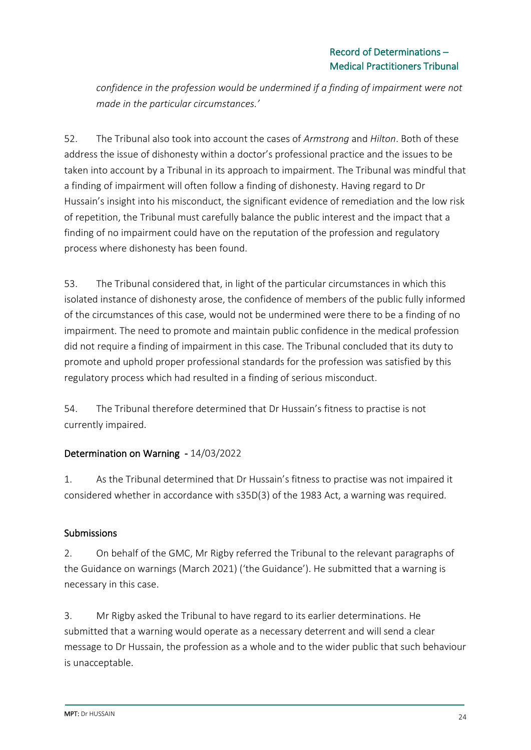*confidence in the profession would be undermined if a finding of impairment were not made in the particular circumstances.'*

52. The Tribunal also took into account the cases of *Armstrong* and *Hilton*. Both of these address the issue of dishonesty within a doctor's professional practice and the issues to be taken into account by a Tribunal in its approach to impairment. The Tribunal was mindful that a finding of impairment will often follow a finding of dishonesty. Having regard to Dr Hussain's insight into his misconduct, the significant evidence of remediation and the low risk of repetition, the Tribunal must carefully balance the public interest and the impact that a finding of no impairment could have on the reputation of the profession and regulatory process where dishonesty has been found.

53. The Tribunal considered that, in light of the particular circumstances in which this isolated instance of dishonesty arose, the confidence of members of the public fully informed of the circumstances of this case, would not be undermined were there to be a finding of no impairment. The need to promote and maintain public confidence in the medical profession did not require a finding of impairment in this case. The Tribunal concluded that its duty to promote and uphold proper professional standards for the profession was satisfied by this regulatory process which had resulted in a finding of serious misconduct.

54. The Tribunal therefore determined that Dr Hussain's fitness to practise is not currently impaired.

## Determination on Warning - 14/03/2022

1. As the Tribunal determined that Dr Hussain's fitness to practise was not impaired it considered whether in accordance with s35D(3) of the 1983 Act, a warning was required.

# **Submissions**

2. On behalf of the GMC, Mr Rigby referred the Tribunal to the relevant paragraphs of the Guidance on warnings (March 2021) ('the Guidance'). He submitted that a warning is necessary in this case.

3. Mr Rigby asked the Tribunal to have regard to its earlier determinations. He submitted that a warning would operate as a necessary deterrent and will send a clear message to Dr Hussain, the profession as a whole and to the wider public that such behaviour is unacceptable.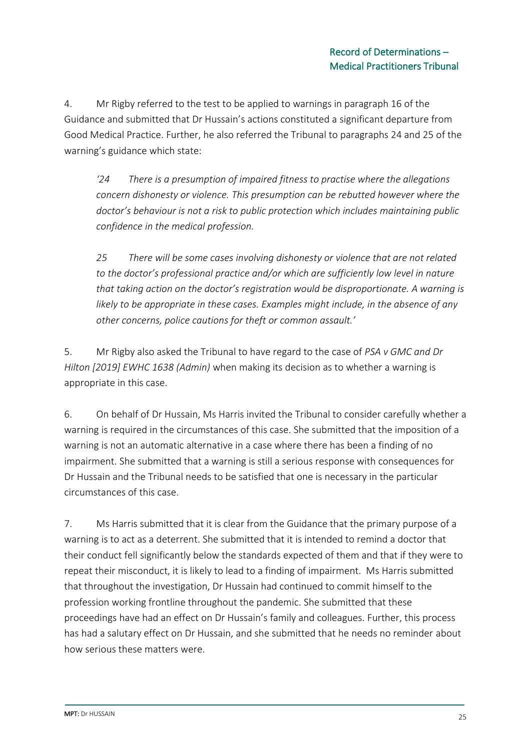4. Mr Rigby referred to the test to be applied to warnings in paragraph 16 of the Guidance and submitted that Dr Hussain's actions constituted a significant departure from Good Medical Practice. Further, he also referred the Tribunal to paragraphs 24 and 25 of the warning's guidance which state:

*'24 There is a presumption of impaired fitness to practise where the allegations concern dishonesty or violence. This presumption can be rebutted however where the doctor's behaviour is not a risk to public protection which includes maintaining public confidence in the medical profession.* 

*25 There will be some cases involving dishonesty or violence that are not related to the doctor's professional practice and/or which are sufficiently low level in nature that taking action on the doctor's registration would be disproportionate. A warning is likely to be appropriate in these cases. Examples might include, in the absence of any other concerns, police cautions for theft or common assault.'*

5. Mr Rigby also asked the Tribunal to have regard to the case of *PSA v GMC and Dr Hilton [2019] EWHC 1638 (Admin)* when making its decision as to whether a warning is appropriate in this case.

6. On behalf of Dr Hussain, Ms Harris invited the Tribunal to consider carefully whether a warning is required in the circumstances of this case. She submitted that the imposition of a warning is not an automatic alternative in a case where there has been a finding of no impairment. She submitted that a warning is still a serious response with consequences for Dr Hussain and the Tribunal needs to be satisfied that one is necessary in the particular circumstances of this case.

7. Ms Harris submitted that it is clear from the Guidance that the primary purpose of a warning is to act as a deterrent. She submitted that it is intended to remind a doctor that their conduct fell significantly below the standards expected of them and that if they were to repeat their misconduct, it is likely to lead to a finding of impairment. Ms Harris submitted that throughout the investigation, Dr Hussain had continued to commit himself to the profession working frontline throughout the pandemic. She submitted that these proceedings have had an effect on Dr Hussain's family and colleagues. Further, this process has had a salutary effect on Dr Hussain, and she submitted that he needs no reminder about how serious these matters were.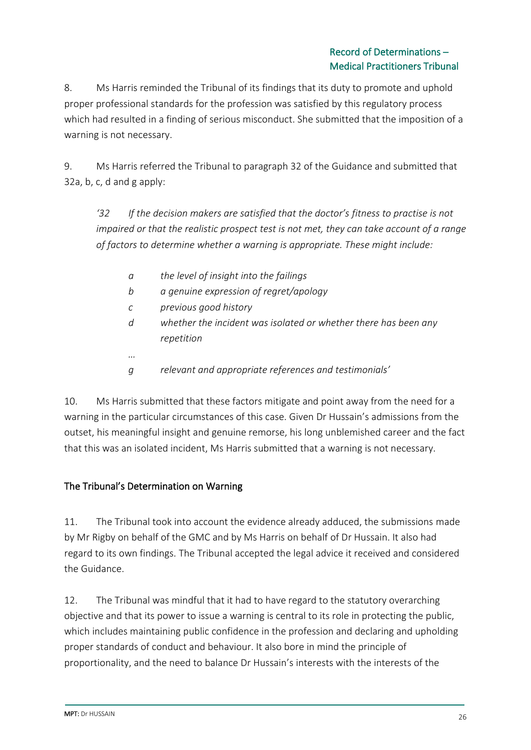### Record of Determinations – Medical Practitioners Tribunal

8. Ms Harris reminded the Tribunal of its findings that its duty to promote and uphold proper professional standards for the profession was satisfied by this regulatory process which had resulted in a finding of serious misconduct. She submitted that the imposition of a warning is not necessary.

9. Ms Harris referred the Tribunal to paragraph 32 of the Guidance and submitted that 32a, b, c, d and g apply:

*'32 If the decision makers are satisfied that the doctor's fitness to practise is not impaired or that the realistic prospect test is not met, they can take account of a range of factors to determine whether a warning is appropriate. These might include:* 

- *a the level of insight into the failings*
- *b a genuine expression of regret/apology*
- *c previous good history*
- *d whether the incident was isolated or whether there has been any repetition*
- *g relevant and appropriate references and testimonials'*

10. Ms Harris submitted that these factors mitigate and point away from the need for a warning in the particular circumstances of this case. Given Dr Hussain's admissions from the outset, his meaningful insight and genuine remorse, his long unblemished career and the fact that this was an isolated incident, Ms Harris submitted that a warning is not necessary.

## The Tribunal's Determination on Warning

*…*

11. The Tribunal took into account the evidence already adduced, the submissions made by Mr Rigby on behalf of the GMC and by Ms Harris on behalf of Dr Hussain. It also had regard to its own findings. The Tribunal accepted the legal advice it received and considered the Guidance.

12. The Tribunal was mindful that it had to have regard to the statutory overarching objective and that its power to issue a warning is central to its role in protecting the public, which includes maintaining public confidence in the profession and declaring and upholding proper standards of conduct and behaviour. It also bore in mind the principle of proportionality, and the need to balance Dr Hussain's interests with the interests of the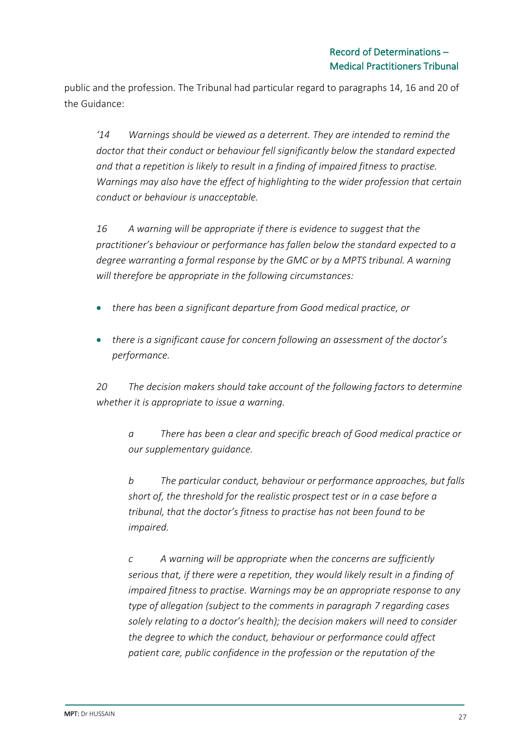public and the profession. The Tribunal had particular regard to paragraphs 14, 16 and 20 of the Guidance:

*'14 Warnings should be viewed as a deterrent. They are intended to remind the doctor that their conduct or behaviour fell significantly below the standard expected and that a repetition is likely to result in a finding of impaired fitness to practise. Warnings may also have the effect of highlighting to the wider profession that certain conduct or behaviour is unacceptable.*

*16 A warning will be appropriate if there is evidence to suggest that the practitioner's behaviour or performance has fallen below the standard expected to a degree warranting a formal response by the GMC or by a MPTS tribunal. A warning will therefore be appropriate in the following circumstances:*

- *there has been a significant departure from Good medical practice, or*
- *there is a significant cause for concern following an assessment of the doctor's performance.*

*20 The decision makers should take account of the following factors to determine whether it is appropriate to issue a warning.* 

*a There has been a clear and specific breach of Good medical practice or our supplementary guidance.* 

*b The particular conduct, behaviour or performance approaches, but falls short of, the threshold for the realistic prospect test or in a case before a tribunal, that the doctor's fitness to practise has not been found to be impaired.*

*c A warning will be appropriate when the concerns are sufficiently serious that, if there were a repetition, they would likely result in a finding of impaired fitness to practise. Warnings may be an appropriate response to any type of allegation (subject to the comments in paragraph 7 regarding cases solely relating to a doctor's health); the decision makers will need to consider the degree to which the conduct, behaviour or performance could affect patient care, public confidence in the profession or the reputation of the*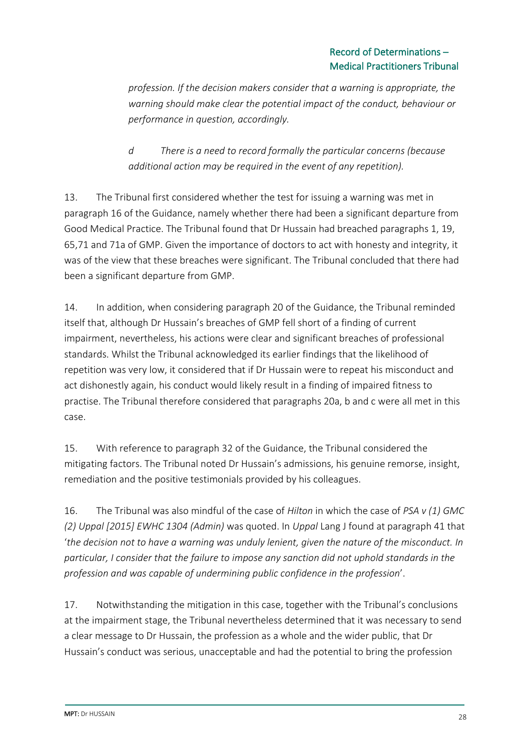*profession. If the decision makers consider that a warning is appropriate, the warning should make clear the potential impact of the conduct, behaviour or performance in question, accordingly.* 

*d There is a need to record formally the particular concerns (because additional action may be required in the event of any repetition).* 

13. The Tribunal first considered whether the test for issuing a warning was met in paragraph 16 of the Guidance, namely whether there had been a significant departure from Good Medical Practice. The Tribunal found that Dr Hussain had breached paragraphs 1, 19, 65,71 and 71a of GMP. Given the importance of doctors to act with honesty and integrity, it was of the view that these breaches were significant. The Tribunal concluded that there had been a significant departure from GMP.

14. In addition, when considering paragraph 20 of the Guidance, the Tribunal reminded itself that, although Dr Hussain's breaches of GMP fell short of a finding of current impairment, nevertheless, his actions were clear and significant breaches of professional standards. Whilst the Tribunal acknowledged its earlier findings that the likelihood of repetition was very low, it considered that if Dr Hussain were to repeat his misconduct and act dishonestly again, his conduct would likely result in a finding of impaired fitness to practise. The Tribunal therefore considered that paragraphs 20a, b and c were all met in this case.

15. With reference to paragraph 32 of the Guidance, the Tribunal considered the mitigating factors. The Tribunal noted Dr Hussain's admissions, his genuine remorse, insight, remediation and the positive testimonials provided by his colleagues.

16. The Tribunal was also mindful of the case of *Hilton* in which the case of *PSA v (1) GMC (2) Uppal [2015] EWHC 1304 (Admin)* was quoted. In *Uppal* Lang J found at paragraph 41 that '*the decision not to have a warning was unduly lenient, given the nature of the misconduct. In particular, I consider that the failure to impose any sanction did not uphold standards in the profession and was capable of undermining public confidence in the profession*'.

17. Notwithstanding the mitigation in this case, together with the Tribunal's conclusions at the impairment stage, the Tribunal nevertheless determined that it was necessary to send a clear message to Dr Hussain, the profession as a whole and the wider public, that Dr Hussain's conduct was serious, unacceptable and had the potential to bring the profession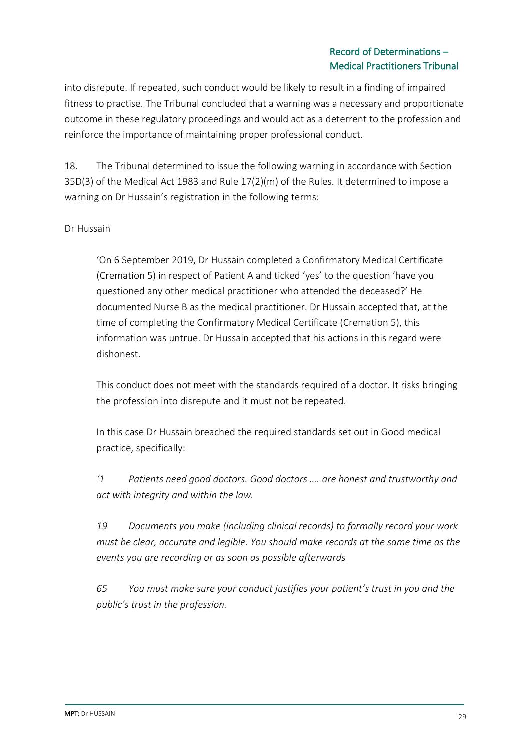### Record of Determinations – Medical Practitioners Tribunal

into disrepute. If repeated, such conduct would be likely to result in a finding of impaired fitness to practise. The Tribunal concluded that a warning was a necessary and proportionate outcome in these regulatory proceedings and would act as a deterrent to the profession and reinforce the importance of maintaining proper professional conduct.

18. The Tribunal determined to issue the following warning in accordance with Section 35D(3) of the Medical Act 1983 and Rule 17(2)(m) of the Rules. It determined to impose a warning on Dr Hussain's registration in the following terms:

### Dr Hussain

'On 6 September 2019, Dr Hussain completed a Confirmatory Medical Certificate (Cremation 5) in respect of Patient A and ticked 'yes' to the question 'have you questioned any other medical practitioner who attended the deceased?' He documented Nurse B as the medical practitioner. Dr Hussain accepted that, at the time of completing the Confirmatory Medical Certificate (Cremation 5), this information was untrue. Dr Hussain accepted that his actions in this regard were dishonest.

This conduct does not meet with the standards required of a doctor. It risks bringing the profession into disrepute and it must not be repeated.

In this case Dr Hussain breached the required standards set out in Good medical practice, specifically:

*'1 Patients need good doctors. Good doctors …. are honest and trustworthy and act with integrity and within the law.*

*19 Documents you make (including clinical records) to formally record your work must be clear, accurate and legible. You should make records at the same time as the events you are recording or as soon as possible afterwards*

*65 You must make sure your conduct justifies your patient's trust in you and the public's trust in the profession.*